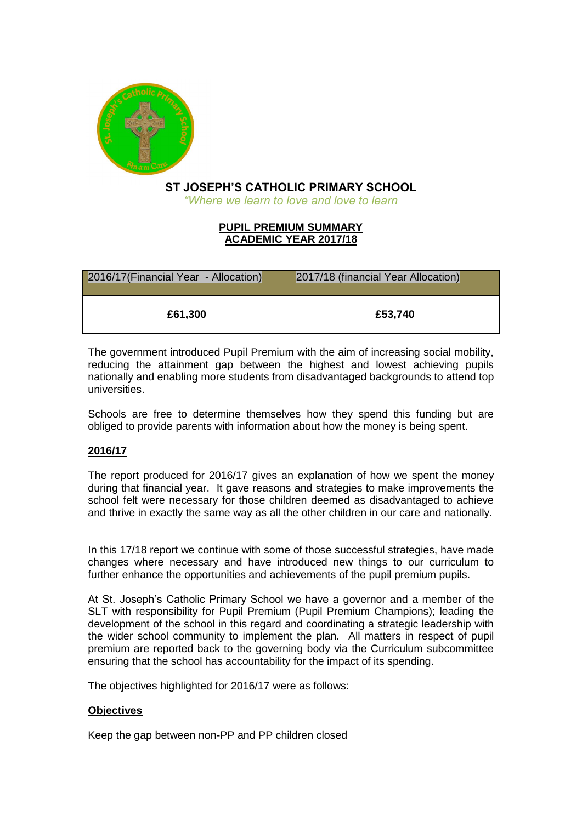

# **ST JOSEPH'S CATHOLIC PRIMARY SCHOOL**

*"Where we learn to love and love to learn*

### **PUPIL PREMIUM SUMMARY ACADEMIC YEAR 2017/18**

| 2016/17(Financial Year - Allocation) | 2017/18 (financial Year Allocation) |
|--------------------------------------|-------------------------------------|
| £61,300                              | £53,740                             |

The government introduced Pupil Premium with the aim of increasing social mobility, reducing the attainment gap between the highest and lowest achieving pupils nationally and enabling more students from disadvantaged backgrounds to attend top universities.

Schools are free to determine themselves how they spend this funding but are obliged to provide parents with information about how the money is being spent.

# **2016/17**

The report produced for 2016/17 gives an explanation of how we spent the money during that financial year. It gave reasons and strategies to make improvements the school felt were necessary for those children deemed as disadvantaged to achieve and thrive in exactly the same way as all the other children in our care and nationally.

In this 17/18 report we continue with some of those successful strategies, have made changes where necessary and have introduced new things to our curriculum to further enhance the opportunities and achievements of the pupil premium pupils.

At St. Joseph's Catholic Primary School we have a governor and a member of the SLT with responsibility for Pupil Premium (Pupil Premium Champions); leading the development of the school in this regard and coordinating a strategic leadership with the wider school community to implement the plan. All matters in respect of pupil premium are reported back to the governing body via the Curriculum subcommittee ensuring that the school has accountability for the impact of its spending.

The objectives highlighted for 2016/17 were as follows:

### **Objectives**

Keep the gap between non-PP and PP children closed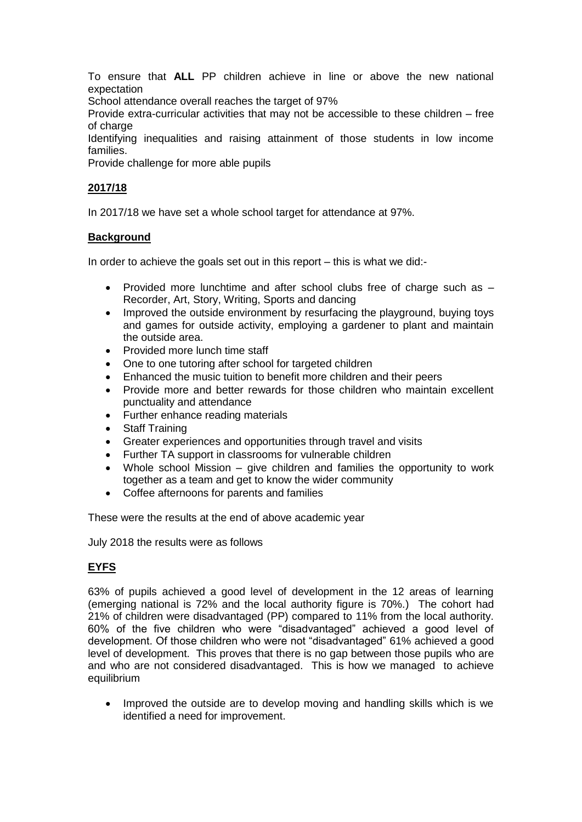To ensure that **ALL** PP children achieve in line or above the new national expectation

School attendance overall reaches the target of 97%

Provide extra-curricular activities that may not be accessible to these children – free of charge

Identifying inequalities and raising attainment of those students in low income families.

Provide challenge for more able pupils

### **2017/18**

In 2017/18 we have set a whole school target for attendance at 97%.

### **Background**

In order to achieve the goals set out in this report – this is what we did:-

- Provided more lunchtime and after school clubs free of charge such as Recorder, Art, Story, Writing, Sports and dancing
- Improved the outside environment by resurfacing the playground, buying toys and games for outside activity, employing a gardener to plant and maintain the outside area.
- Provided more lunch time staff
- One to one tutoring after school for targeted children
- Enhanced the music tuition to benefit more children and their peers
- Provide more and better rewards for those children who maintain excellent punctuality and attendance
- Further enhance reading materials
- **Staff Training**
- Greater experiences and opportunities through travel and visits
- Further TA support in classrooms for vulnerable children
- Whole school Mission give children and families the opportunity to work together as a team and get to know the wider community
- Coffee afternoons for parents and families

These were the results at the end of above academic year

July 2018 the results were as follows

# **EYFS**

63% of pupils achieved a good level of development in the 12 areas of learning (emerging national is 72% and the local authority figure is 70%.) The cohort had 21% of children were disadvantaged (PP) compared to 11% from the local authority. 60% of the five children who were "disadvantaged" achieved a good level of development. Of those children who were not "disadvantaged" 61% achieved a good level of development. This proves that there is no gap between those pupils who are and who are not considered disadvantaged. This is how we managed to achieve equilibrium

• Improved the outside are to develop moving and handling skills which is we identified a need for improvement.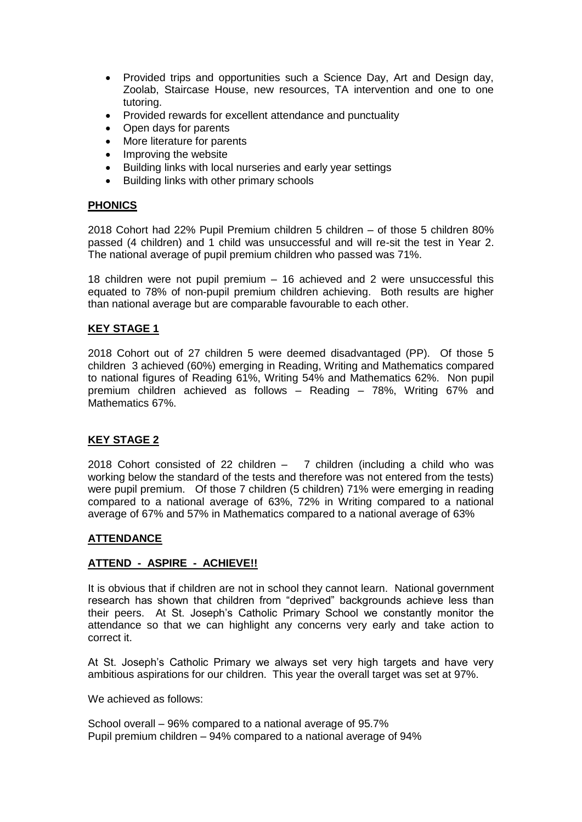- Provided trips and opportunities such a Science Day, Art and Design day, Zoolab, Staircase House, new resources, TA intervention and one to one tutoring.
- Provided rewards for excellent attendance and punctuality
- Open days for parents
- More literature for parents
- Improving the website
- Building links with local nurseries and early year settings
- Building links with other primary schools

### **PHONICS**

2018 Cohort had 22% Pupil Premium children 5 children – of those 5 children 80% passed (4 children) and 1 child was unsuccessful and will re-sit the test in Year 2. The national average of pupil premium children who passed was 71%.

18 children were not pupil premium – 16 achieved and 2 were unsuccessful this equated to 78% of non-pupil premium children achieving. Both results are higher than national average but are comparable favourable to each other.

## **KEY STAGE 1**

2018 Cohort out of 27 children 5 were deemed disadvantaged (PP). Of those 5 children 3 achieved (60%) emerging in Reading, Writing and Mathematics compared to national figures of Reading 61%, Writing 54% and Mathematics 62%. Non pupil premium children achieved as follows – Reading – 78%, Writing 67% and Mathematics 67%.

### **KEY STAGE 2**

2018 Cohort consisted of 22 children – 7 children (including a child who was working below the standard of the tests and therefore was not entered from the tests) were pupil premium. Of those 7 children (5 children) 71% were emerging in reading compared to a national average of 63%, 72% in Writing compared to a national average of 67% and 57% in Mathematics compared to a national average of 63%

### **ATTENDANCE**

### **ATTEND - ASPIRE - ACHIEVE!!**

It is obvious that if children are not in school they cannot learn. National government research has shown that children from "deprived" backgrounds achieve less than their peers. At St. Joseph's Catholic Primary School we constantly monitor the attendance so that we can highlight any concerns very early and take action to correct it.

At St. Joseph's Catholic Primary we always set very high targets and have very ambitious aspirations for our children. This year the overall target was set at 97%.

We achieved as follows:

School overall – 96% compared to a national average of 95.7% Pupil premium children – 94% compared to a national average of 94%